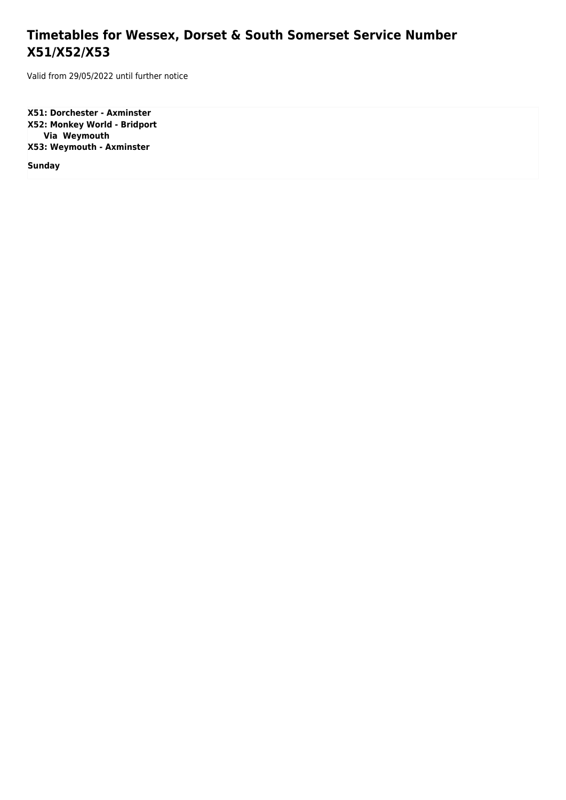## **Timetables for Wessex, Dorset & South Somerset Service Number X51/X52/X53**

Valid from 29/05/2022 until further notice

**X51: Dorchester - Axminster X52: Monkey World - Bridport Via Weymouth X53: Weymouth - Axminster**

**Sunday**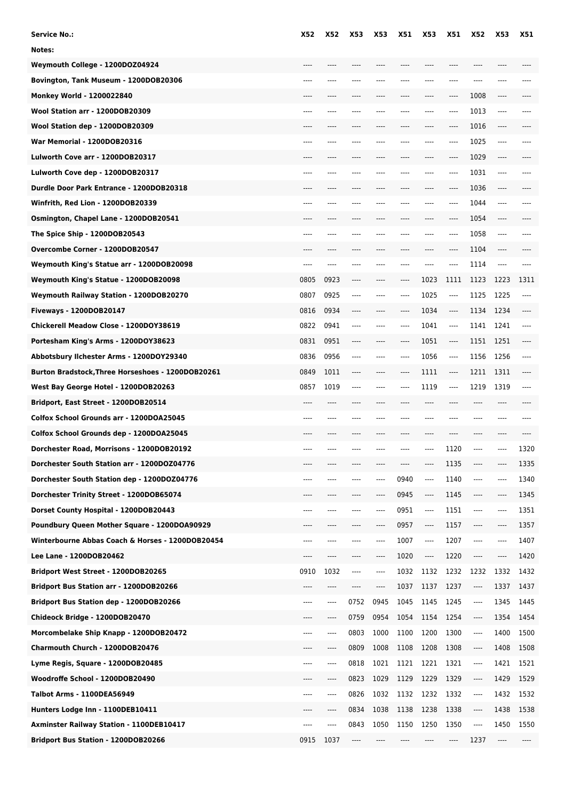| <b>Service No.:</b>                               | X52       | <b>X52</b> | X53       | X53  | X51      | X53  | X51       | <b>X52</b> | X53   | <b>X51</b> |
|---------------------------------------------------|-----------|------------|-----------|------|----------|------|-----------|------------|-------|------------|
| Notes:                                            |           |            |           |      |          |      |           |            |       |            |
| Weymouth College - 1200DOZ04924                   | $---$     |            | $---$     | ---- |          | ---- | $---$     | ----       |       |            |
| Bovington, Tank Museum - 1200DOB20306             |           | ----       | ----      |      |          |      | ----      | ----       | ----  |            |
| Monkey World - 1200022840                         |           |            |           |      |          |      | ----      | 1008       | ----  |            |
| Wool Station arr - 1200DOB20309                   |           |            |           |      |          |      | ----      | 1013       | ----  |            |
| Wool Station dep - 1200DOB20309                   |           |            | ----      | ---- |          |      | ----      | 1016       | ----  |            |
| War Memorial - 1200DOB20316                       |           |            | ----      |      | ----     | ---- | ----      | 1025       | ----  |            |
| Lulworth Cove arr - 1200DOB20317                  |           |            |           |      |          |      | ----      | 1029       | ----  |            |
| Lulworth Cove dep - 1200DOB20317                  |           |            |           |      |          |      |           | 1031       | ----  |            |
| Durdle Door Park Entrance - 1200DOB20318          |           |            |           |      |          |      |           | 1036       | ----  |            |
| Winfrith, Red Lion - 1200DOB20339                 | $- - - -$ | ----       | $- - - -$ | ---- | ----     | ---- | ----      | 1044       | $---$ |            |
| Osmington, Chapel Lane - 1200DOB20541             |           |            |           |      |          |      |           | 1054       | ----  |            |
| The Spice Ship - 1200DOB20543                     |           |            |           |      |          |      | ----      | 1058       | ----  |            |
| Overcombe Corner - 1200DOB20547                   |           | ----       | ----      | ---- |          | ---- | ----      | 1104       | ----  |            |
| Weymouth King's Statue arr - 1200DOB20098         | $---$     | ----       | ----      |      | ----     | ---- | $- - - -$ | 1114       | ----  |            |
| Weymouth King's Statue - 1200DOB20098             | 0805      | 0923       | $---$     | ---- | ----     | 1023 | 1111      | 1123       | 1223  | 1311       |
| Weymouth Railway Station - 1200DOB20270           | 0807      | 0925       | ----      | ---- | $^{***}$ | 1025 | ----      | 1125       | 1225  | ----       |
| Fiveways - 1200DOB20147                           | 0816      | 0934       | $---$     | ---- | ----     | 1034 | ----      | 1134       | 1234  |            |
| Chickerell Meadow Close - 1200DOY38619            | 0822      | 0941       | $---$     | ---- | $---$    | 1041 | ----      | 1141       | 1241  | ----       |
| Portesham King's Arms - 1200DOY38623              | 0831      | 0951       | $---$     | ---- | ----     | 1051 | ----      | 1151       | 1251  | ----       |
| Abbotsbury Ilchester Arms - 1200DOY29340          | 0836      | 0956       | $---$     |      | $^{***}$ | 1056 | ----      | 1156       | 1256  |            |
| Burton Bradstock, Three Horseshoes - 1200DOB20261 | 0849      | 1011       | $---$     | ---- |          | 1111 | ----      | 1211       | 1311  |            |
| West Bay George Hotel - 1200DOB20263              | 0857      | 1019       | $---$     | ---- |          | 1119 | ----      | 1219       | 1319  |            |
| Bridport, East Street - 1200DOB20514              | $-- -$    | ----       | $---$     | ---- |          | ---- | ----      | $-- - -$   | ----  |            |
| Colfox School Grounds arr - 1200DOA25045          |           |            | ----      |      |          |      |           |            | ----  |            |
| Colfox School Grounds dep - 1200DOA25045          |           |            |           |      |          |      |           |            |       |            |
| Dorchester Road, Morrisons - 1200DOB20192         |           |            |           |      |          |      | 1120      | ----       |       | 1320       |
| Dorchester South Station arr - 1200DOZ04776       |           |            |           |      |          |      | 1135      | ----       | ----  | 1335       |
| Dorchester South Station dep - 1200DOZ04776       |           |            | ----      | ---- | 0940     | ---- | 1140      | $---$      | ----  | 1340       |
| Dorchester Trinity Street - 1200DOB65074          |           |            | ----      | ---- | 0945     | ---- | 1145      | $\cdots$   | ----  | 1345       |
| Dorset County Hospital - 1200DOB20443             |           |            | ----      | ---- | 0951     | ---- | 1151      | ----       | ----  | 1351       |
| Poundbury Queen Mother Square - 1200DOA90929      | $- - - -$ | ----       | ----      | ---- | 0957     | ---- | 1157      | $^{***}$   | ----  | 1357       |
| Winterbourne Abbas Coach & Horses - 1200DOB20454  | ----      |            | ----      | ---- | 1007     | ---- | 1207      | $---$      | ----  | 1407       |
| Lee Lane - 1200DOB20462                           |           | ----       | ----      | ---- | 1020     | ---- | 1220      | $\cdots$   | ----  | 1420       |
| Bridport West Street - 1200DOB20265               | 0910      | 1032       | $\cdots$  | ---- | 1032     | 1132 | 1232      | 1232       | 1332  | 1432       |
| Bridport Bus Station arr - 1200DOB20266           |           | ----       | $---$     | ---- | 1037     | 1137 | 1237      | ----       | 1337  | 1437       |
| Bridport Bus Station dep - 1200DOB20266           | ----      | ----       | 0752      | 0945 | 1045     | 1145 | 1245      | $\cdots$   | 1345  | 1445       |
| Chideock Bridge - 1200DOB20470                    | ----      | ----       | 0759      | 0954 | 1054     | 1154 | 1254      | $\cdots$   | 1354  | 1454       |
| Morcombelake Ship Knapp - 1200DOB20472            |           | ----       | 0803      | 1000 | 1100     | 1200 | 1300      | ----       | 1400  | 1500       |
| Charmouth Church - 1200DOB20476                   |           | ----       | 0809      | 1008 | 1108     | 1208 | 1308      | ----       | 1408  | 1508       |
| Lyme Regis, Square - 1200DOB20485                 | $---$     | ----       | 0818      | 1021 | 1121     | 1221 | 1321      | $\cdots$   | 1421  | 1521       |
| Woodroffe School - 1200DOB20490                   |           | ----       | 0823      | 1029 | 1129     | 1229 | 1329      | $\cdots$   | 1429  | 1529       |
| <b>Talbot Arms - 1100DEA56949</b>                 | ----      | ----       | 0826      | 1032 | 1132     | 1232 | 1332      | $\cdots$   | 1432  | 1532       |
| Hunters Lodge Inn - 1100DEB10411                  | ----      | ----       | 0834      | 1038 | 1138     | 1238 | 1338      | ----       | 1438  | 1538       |
| Axminster Railway Station - 1100DEB10417          | $---$     | ----       | 0843      | 1050 | 1150     | 1250 | 1350      | ----       | 1450  | 1550       |
| Bridport Bus Station - 1200DOB20266               | 0915      | 1037       | ----      |      |          |      | ----      | 1237       | ----  |            |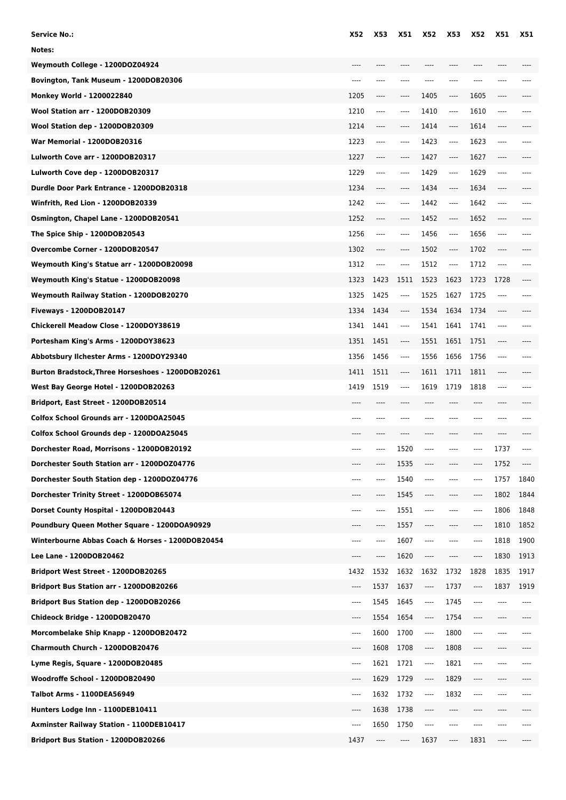| Service No.:                                     | X52   | X53                                          | X51     | <b>X52</b>               | X53                                          | <b>X52</b> | <b>X51</b>                    | <b>X51</b>                    |
|--------------------------------------------------|-------|----------------------------------------------|---------|--------------------------|----------------------------------------------|------------|-------------------------------|-------------------------------|
| Notes:                                           |       |                                              |         |                          |                                              |            |                               |                               |
| Weymouth College - 1200DOZ04924                  |       |                                              |         |                          |                                              |            |                               |                               |
| Bovington, Tank Museum - 1200DOB20306            | ----  | ----                                         |         |                          |                                              |            |                               |                               |
| Monkey World - 1200022840                        | 1205  | ----                                         | ----    | 1405                     | $\hspace{1.5cm} \textbf{---} \hspace{1.5cm}$ | 1605       | $---$                         |                               |
| Wool Station arr - 1200DOB20309                  | 1210  | $-----$                                      | ----    | 1410                     | $-----$                                      | 1610       | $-----$                       | ----                          |
| Wool Station dep - 1200DOB20309                  | 1214  | $---$                                        | ----    | 1414                     | $\hspace{1.5cm} \textbf{---}$                | 1614       | $\hspace{1.5cm} \textbf{---}$ |                               |
| War Memorial - 1200DOB20316                      | 1223  | $---$                                        |         | 1423                     | $^{***}$                                     | 1623       | $^{***}$                      |                               |
| Lulworth Cove arr - 1200DOB20317                 | 1227  | $---$                                        | ----    | 1427                     | $---$                                        | 1627       | $---$                         |                               |
| Lulworth Cove dep - 1200DOB20317                 | 1229  | $---$                                        | $---$   | 1429                     | $---$                                        | 1629       | $---$                         |                               |
| Durdle Door Park Entrance - 1200DOB20318         | 1234  | $---$                                        |         | 1434                     | ----                                         | 1634       | ----                          |                               |
| Winfrith, Red Lion - 1200DOB20339                | 1242  | $---$                                        | ----    | 1442                     | $-----$                                      | 1642       | $^{***}$                      |                               |
| Osmington, Chapel Lane - 1200DOB20541            | 1252  | $---$                                        | ----    | 1452                     | $---$                                        | 1652       | $\cdots$                      |                               |
| The Spice Ship - 1200DOB20543                    | 1256  | $---$                                        | ----    | 1456                     | $-----$                                      | 1656       | $---$                         |                               |
| Overcombe Corner - 1200DOB20547                  | 1302  | ----                                         | ----    | 1502                     | $\cdots$                                     | 1702       | ----                          |                               |
| Weymouth King's Statue arr - 1200DOB20098        | 1312  | $---$                                        | ----    | 1512                     | ----                                         | 1712       | $\cdots$                      |                               |
| Weymouth King's Statue - 1200DOB20098            | 1323  | 1423                                         | 1511    | 1523                     | 1623                                         | 1723       | 1728                          | ----                          |
| Weymouth Railway Station - 1200DOB20270          | 1325  | 1425                                         | $-----$ | 1525                     | 1627                                         | 1725       | $---$                         |                               |
| <b>Fiveways - 1200DOB20147</b>                   | 1334  | 1434                                         | ----    | 1534                     | 1634                                         | 1734       | $\cdots$                      |                               |
| Chickerell Meadow Close - 1200DOY38619           | 1341  | 1441                                         | $-----$ | 1541                     | 1641                                         | 1741       | $^{***}$                      |                               |
| Portesham King's Arms - 1200DOY38623             | 1351  | 1451                                         | $---$   | 1551                     | 1651                                         | 1751       | ----                          |                               |
| Abbotsbury Ilchester Arms - 1200DOY29340         | 1356  | 1456                                         | ----    | 1556                     | 1656                                         | 1756       | $\hspace{1.5cm} \textbf{---}$ |                               |
| Burton Bradstock,Three Horseshoes - 1200DOB20261 | 1411  | 1511                                         | ----    | 1611                     | 1711                                         | 1811       | $\cdots$                      |                               |
| West Bay George Hotel - 1200DOB20263             | 1419  | 1519                                         | ----    | 1619                     | 1719                                         | 1818       | $-- -$                        |                               |
| Bridport, East Street - 1200DOB20514             |       |                                              |         |                          |                                              |            |                               |                               |
| Colfox School Grounds arr - 1200DOA25045         | ----  | ----                                         |         |                          |                                              | ----       | $---$                         |                               |
| Colfox School Grounds dep - 1200DOA25045         |       |                                              |         |                          |                                              |            | $---$                         |                               |
| Dorchester Road, Morrisons - 1200DOB20192        | ----  | ----                                         | 1520    | ----                     |                                              | ----       | 1737                          | ----                          |
| Dorchester South Station arr - 1200DOZ04776      |       | ----                                         | 1535    | ----                     |                                              | ----       | 1752                          | $\hspace{1.5cm} \textbf{---}$ |
| Dorchester South Station dep - 1200DOZ04776      | ----  | $---$                                        | 1540    | ----                     | ----                                         | ----       | 1757                          | 1840                          |
| Dorchester Trinity Street - 1200DOB65074         | ----  | ----                                         | 1545    | ----                     | ----                                         | ----       | 1802                          | 1844                          |
| Dorset County Hospital - 1200DOB20443            | ----  | $---$                                        | 1551    | ----                     | ----                                         | ----       | 1806                          | 1848                          |
| Poundbury Queen Mother Square - 1200DOA90929     | ----  | $\hspace{1.5cm} \textbf{---} \hspace{1.5cm}$ | 1557    | ----                     | ----                                         | ----       | 1810                          | 1852                          |
| Winterbourne Abbas Coach & Horses - 1200DOB20454 | ----  | $---$                                        | 1607    | ----                     | ----                                         | ----       | 1818                          | 1900                          |
| Lee Lane - 1200DOB20462                          | ----  | $---$                                        | 1620    | ----                     | ----                                         | ----       | 1830                          | 1913                          |
| Bridport West Street - 1200DOB20265              | 1432  | 1532                                         | 1632    | 1632                     | 1732                                         | 1828       | 1835                          | 1917                          |
| Bridport Bus Station arr - 1200DOB20266          | ----  | 1537                                         | 1637    | ----                     | 1737                                         | ----       | 1837                          | 1919                          |
| Bridport Bus Station dep - 1200DOB20266          | ----  | 1545                                         | 1645    | ----                     | 1745                                         | ----       |                               | ----                          |
| Chideock Bridge - 1200DOB20470                   | ----  | 1554                                         | 1654    | ----                     | 1754                                         | ----       | $\cdots$                      |                               |
| Morcombelake Ship Knapp - 1200DOB20472           | ----  | 1600                                         | 1700    | ----                     | 1800                                         | ----       | ----                          | ----                          |
| Charmouth Church - 1200DOB20476                  | ----  | 1608                                         | 1708    | ----                     | 1808                                         | ----       | ----                          |                               |
| Lyme Regis, Square - 1200DOB20485                | ----  | 1621                                         | 1721    | $\overline{\phantom{a}}$ | 1821                                         | ----       | $-----$                       | ----                          |
| Woodroffe School - 1200DOB20490                  | ----  | 1629                                         | 1729    | ----                     | 1829                                         | ----       | $\hspace{1.5cm} \textbf{---}$ |                               |
| <b>Talbot Arms - 1100DEA56949</b>                | $---$ | 1632                                         | 1732    | ----                     | 1832                                         | ----       | $---$                         | ----                          |
| Hunters Lodge Inn - 1100DEB10411                 | ----  | 1638                                         | 1738    | ----                     | ----                                         | ----       | $---$                         |                               |
| <b>Axminster Railway Station - 1100DEB10417</b>  | ----  | 1650                                         | 1750    | ----                     |                                              | ----       | $---$                         |                               |
| Bridport Bus Station - 1200DOB20266              | 1437  | $---$                                        | ----    | 1637                     | $---$                                        | 1831       | $\cdots$                      |                               |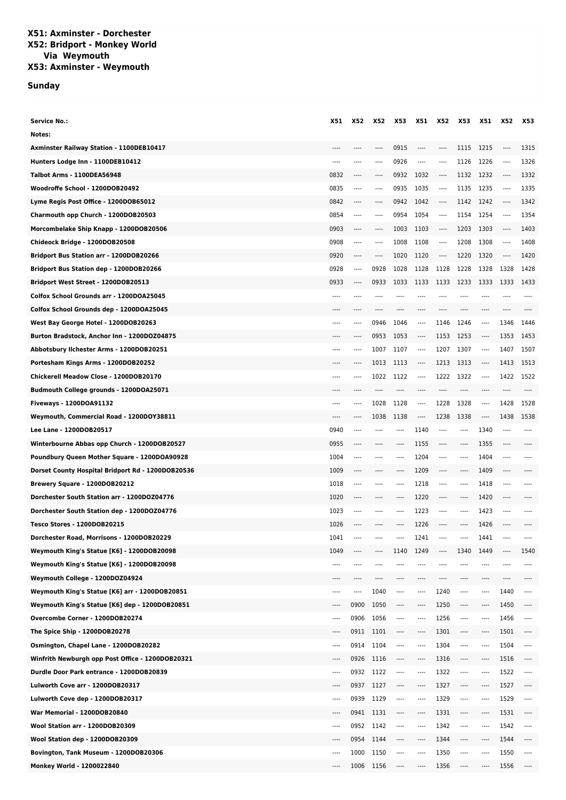## **X51: Axminster - Dorchester X52: Bridport - Monkey World Via Weymouth X53: Axminster - Weymouth**

## **Sunday**

| <b>Service No.:</b>                               | X51  | X52                      | X52   | X53                      | X51      | <b>X52</b> | X53      | X51                      | X52                      | X53      |
|---------------------------------------------------|------|--------------------------|-------|--------------------------|----------|------------|----------|--------------------------|--------------------------|----------|
| Notes:                                            |      |                          |       |                          |          |            |          |                          |                          |          |
| Axminster Railway Station - 1100DEB10417          |      | ----                     | ----  | 0915                     | ----     | $---$      | 1115     | 1215                     | ----                     | 1315     |
| Hunters Lodge Inn - 1100DEB10412                  |      |                          | ----  | 0926                     | ----     | $-----$    | 1126     | 1226                     | ----                     | 1326     |
| <b>Talbot Arms - 1100DEA56948</b>                 | 0832 | $---$                    |       | 0932                     | 1032     | $---$      | 1132     | 1232                     | ----                     | 1332     |
| Woodroffe School - 1200DOB20492                   | 0835 | $---$                    | $---$ | 0935                     | 1035     | $---$      | 1135     | 1235                     | $\overline{\phantom{a}}$ | 1335     |
| Lyme Regis Post Office - 1200DOB65012             | 0842 | ----                     | ----  | 0942                     | 1042     | $-----$    | 1142     | 1242                     | ----                     | 1342     |
| Charmouth opp Church - 1200DOB20503               | 0854 | $---$                    | $---$ | 0954                     | 1054     | $---$      | 1154     | 1254                     | $\overline{\phantom{a}}$ | 1354     |
| Morcombelake Ship Knapp - 1200DOB20506            | 0903 | ----                     |       | 1003                     | 1103     | $---$      | 1203     | 1303                     | ----                     | 1403     |
| Chideock Bridge - 1200DOB20508                    | 0908 | $---$                    | $---$ | 1008                     | 1108     | $-----$    | 1208     | 1308                     | $\overline{\phantom{a}}$ | 1408     |
| Bridport Bus Station arr - 1200DOB20266           | 0920 | ----                     |       | 1020                     | 1120     | $-----$    | 1220     | 1320                     | ----                     | 1420     |
| <b>Bridport Bus Station dep - 1200DOB20266</b>    | 0928 | $---$                    | 0928  | 1028                     | 1128     | 1128       | 1228     | 1328                     | 1328                     | 1428     |
| Bridport West Street - 1200DOB20513               | 0933 | ----                     | 0933  | 1033                     | 1133     | 1133       | 1233     | 1333                     | 1333                     | 1433     |
| Colfox School Grounds arr - 1200DOA25045          | ---- | ----                     | ----  |                          | ----     |            |          |                          | $---$                    |          |
| Colfox School Grounds dep - 1200DOA25045          |      |                          |       |                          |          |            |          |                          | $- - - -$                |          |
| West Bay George Hotel - 1200DOB20263              |      |                          | 0946  | 1046                     | ----     | 1146       | 1246     | ----                     | 1346                     | 1446     |
| Burton Bradstock, Anchor Inn - 1200DOZ04875       | ---- | ----                     | 0953  | 1053                     | ----     | 1153       | 1253     | ----                     | 1353                     | 1453     |
| Abbotsbury Ilchester Arms - 1200DOB20251          |      | ----                     | 1007  | 1107                     | $\cdots$ | 1207       | 1307     | $\overline{\phantom{a}}$ | 1407                     | 1507     |
| Portesham Kings Arms - 1200DOB20252               |      | ----                     | 1013  | 1113                     | ----     | 1213       | 1313     | ----                     | 1413                     | 1513     |
| Chickerell Meadow Close - 1200DOB20170            | ---- | $---$                    | 1022  | 1122                     | ----     | 1222       | 1322     | ----                     | 1422                     | 1522     |
| Budmouth College grounds - 1200DOA25071           |      |                          |       |                          | ----     |            | ----     | ----                     | ----                     |          |
| Fiveways - 1200DOA91132                           | ---- | $---$                    | 1028  | 1128                     | ----     | 1228       | 1328     | $---$                    | 1428                     | 1528     |
| Weymouth, Commercial Road - 1200DOY38811          | ---- | ----                     | 1038  | 1138                     | $\cdots$ | 1238       | 1338     | ----                     | 1438                     | 1538     |
| Lee Lane - 1200DOB20517                           | 0940 | $---$                    | ----  | ----                     | 1140     | $---$      | ----     | 1340                     | $---$                    |          |
| Winterbourne Abbas opp Church - 1200DOB20527      | 0955 | ----                     |       |                          | 1155     | ----       | ----     | 1355                     | $---$                    |          |
| Poundbury Queen Mother Square - 1200DOA90928      | 1004 | $---$                    | $---$ | $---$                    | 1204     | ----       | ----     | 1404                     | $---$                    |          |
| Dorset County Hospital Bridport Rd - 1200DOB20536 | 1009 | ----                     | ----  | ----                     | 1209     | ----       | ----     | 1409                     | $^{***}$                 |          |
| Brewery Square - 1200DOB20212                     | 1018 | $\overline{\phantom{a}}$ | $---$ | $---$                    | 1218     | ----       | ----     | 1418                     | $\overline{\phantom{a}}$ | ----     |
| Dorchester South Station arr - 1200DOZ04776       | 1020 | ----                     | ----  | $- - - -$                | 1220     | ----       | ----     | 1420                     | $- - - -$                |          |
| Dorchester South Station dep - 1200DOZ04776       | 1023 | $---$                    | ----  | ----                     | 1223     | ----       | ----     | 1423                     | $---$                    |          |
| <b>Tesco Stores - 1200DOB20215</b>                | 1026 |                          |       |                          | 1226     |            | ----     | 1426                     | $---$                    |          |
| Dorchester Road, Morrisons - 1200DOB20229         | 1041 |                          |       |                          | 1241     |            |          | 1441                     | $---$                    |          |
| Weymouth King's Statue [K6] - 1200DOB20098        | 1049 |                          |       | 1140                     | 1249     |            | 1340     | 1449                     | ----                     | 1540     |
| Weymouth King's Statue [K6] - 1200DOB20098        |      |                          |       |                          |          |            |          |                          |                          |          |
| Weymouth College - 1200DOZ04924                   | ---- | ----                     | ----  | ----                     | ----     |            | ----     | ----                     | ----                     | ----     |
| Weymouth King's Statue [K6] arr - 1200DOB20851    | ---- | ----                     | 1040  | $-----$                  | ----     | 1240       | ----     | ----                     | 1440                     | $---$    |
| Weymouth King's Statue [K6] dep - 1200DOB20851    | ---- | 0900                     | 1050  | ----                     | ----     | 1250       | ----     | ----                     | 1450                     | $\cdots$ |
| Overcombe Corner - 1200DOB20274                   | ---- | 0906                     | 1056  | $---$                    | ----     | 1256       | ----     | ----                     | 1456                     | $---$    |
| The Spice Ship - 1200DOB20278                     | ---- | 0911                     | 1101  | ----                     | ----     | 1301       | ----     | ----                     | 1501                     | ----     |
| Osmington, Chapel Lane - 1200DOB20282             | ---- | 0914                     | 1104  | $---$                    | ----     | 1304       | ----     | ----                     | 1504                     | $\cdots$ |
| Winfrith Newburgh opp Post Office - 1200DOB20321  | ---- | 0926                     | 1116  | ----                     | ----     | 1316       | ----     | ----                     | 1516                     | $---$    |
| Durdle Door Park entrance - 1200DOB20839          | ---- | 0932                     | 1122  | $\overline{\phantom{a}}$ | ----     | 1322       | $\cdots$ | ----                     | 1522                     | ----     |
| Lulworth Cove arr - 1200DOB20317                  | ---- | 0937                     | 1127  | ----                     | ----     | 1327       | ----     | ----                     | 1527                     | ----     |
| Lulworth Cove dep - 1200DOB20317                  | ---- | 0939                     | 1129  | ----                     | ----     | 1329       | $\cdots$ | ----                     | 1529                     | $\cdots$ |
| War Memorial - 1200DOB20840                       | ---- | 0941                     | 1131  | ----                     | ----     | 1331       | ----     | ----                     | 1531                     | $\cdots$ |
| Wool Station arr - 1200DOB20309                   | ---- | 0952                     | 1142  | ----                     | ----     | 1342       | ----     | ----                     | 1542                     | $\cdots$ |
| Wool Station dep - 1200DOB20309                   | ---- | 0954                     | 1144  | $-----$                  | ----     | 1344       | ----     | ----                     | 1544                     | $---$    |
| Bovington, Tank Museum - 1200DOB20306             | ---- | 1000                     | 1150  |                          |          | 1350       | ----     | ----                     | 1550                     | ----     |
| Monkey World - 1200022840                         | ---- | 1006                     | 1156  | $---$                    | ----     | 1356       | $\cdots$ | ----                     | 1556                     | $\cdots$ |